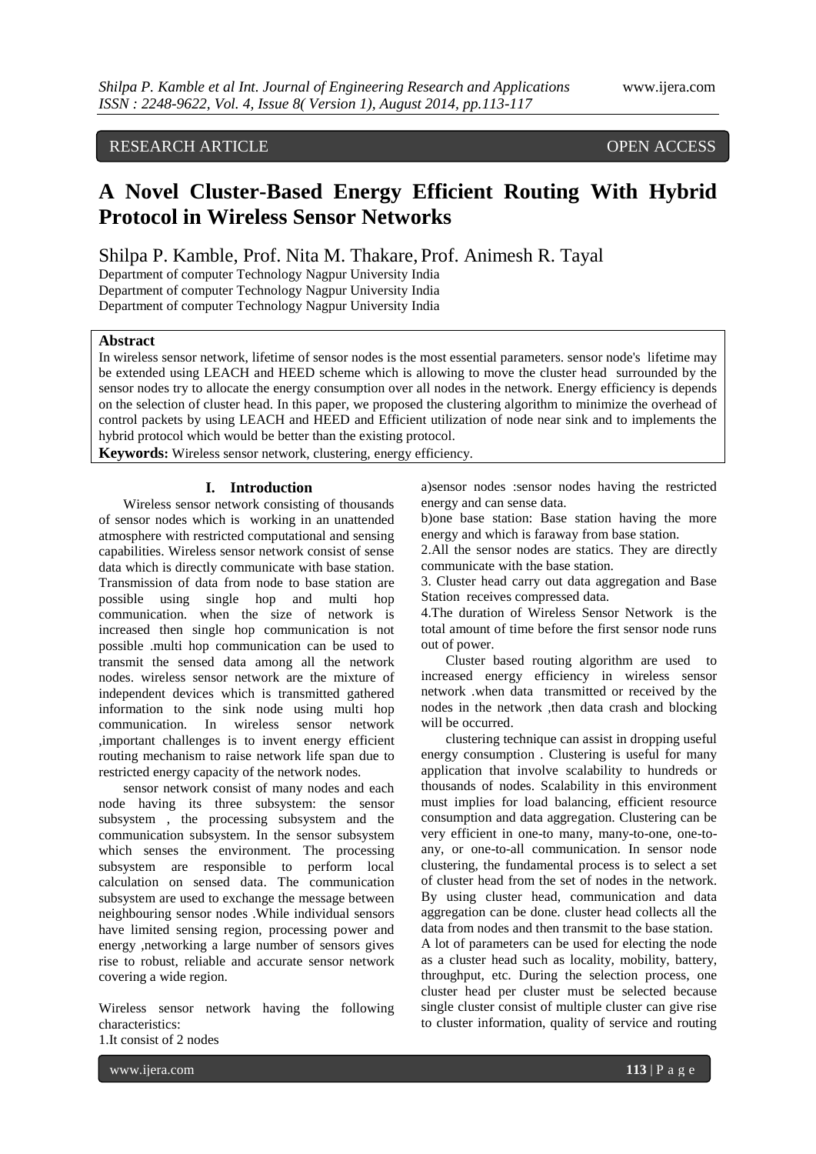## RESEARCH ARTICLE OPEN ACCESS

# **A Novel Cluster-Based Energy Efficient Routing With Hybrid Protocol in Wireless Sensor Networks**

Shilpa P. Kamble, Prof. Nita M. Thakare, Prof. Animesh R. Tayal

Department of computer Technology Nagpur University India Department of computer Technology Nagpur University India Department of computer Technology Nagpur University India

#### **Abstract**

In wireless sensor network, lifetime of sensor nodes is the most essential parameters. sensor node's lifetime may be extended using LEACH and HEED scheme which is allowing to move the cluster head surrounded by the sensor nodes try to allocate the energy consumption over all nodes in the network. Energy efficiency is depends on the selection of cluster head. In this paper, we proposed the clustering algorithm to minimize the overhead of control packets by using LEACH and HEED and Efficient utilization of node near sink and to implements the hybrid protocol which would be better than the existing protocol.

**Keywords:** Wireless sensor network, clustering, energy efficiency.

### **I. Introduction**

Wireless sensor network consisting of thousands of sensor nodes which is working in an unattended atmosphere with restricted computational and sensing capabilities. Wireless sensor network consist of sense data which is directly communicate with base station. Transmission of data from node to base station are possible using single hop and multi hop communication. when the size of network is increased then single hop communication is not possible .multi hop communication can be used to transmit the sensed data among all the network nodes. wireless sensor network are the mixture of independent devices which is transmitted gathered information to the sink node using multi hop communication. In wireless sensor network ,important challenges is to invent energy efficient routing mechanism to raise network life span due to restricted energy capacity of the network nodes.

sensor network consist of many nodes and each node having its three subsystem: the sensor subsystem , the processing subsystem and the communication subsystem. In the sensor subsystem which senses the environment. The processing subsystem are responsible to perform local calculation on sensed data. The communication subsystem are used to exchange the message between neighbouring sensor nodes .While individual sensors have limited sensing region, processing power and energy ,networking a large number of sensors gives rise to robust, reliable and accurate sensor network covering a wide region.

Wireless sensor network having the following characteristics:

1.It consist of 2 nodes

a)sensor nodes :sensor nodes having the restricted energy and can sense data.

b)one base station: Base station having the more energy and which is faraway from base station.

2.All the sensor nodes are statics. They are directly communicate with the base station.

3. Cluster head carry out data aggregation and Base Station receives compressed data.

4.The duration of Wireless Sensor Network is the total amount of time before the first sensor node runs out of power.

Cluster based routing algorithm are used to increased energy efficiency in wireless sensor network .when data transmitted or received by the nodes in the network ,then data crash and blocking will be occurred.

clustering technique can assist in dropping useful energy consumption . Clustering is useful for many application that involve scalability to hundreds or thousands of nodes. Scalability in this environment must implies for load balancing, efficient resource consumption and data aggregation. Clustering can be very efficient in one-to many, many-to-one, one-toany, or one-to-all communication. In sensor node clustering, the fundamental process is to select a set of cluster head from the set of nodes in the network. By using cluster head, communication and data aggregation can be done. cluster head collects all the data from nodes and then transmit to the base station. A lot of parameters can be used for electing the node as a cluster head such as locality, mobility, battery, throughput, etc. During the selection process, one cluster head per cluster must be selected because single cluster consist of multiple cluster can give rise to cluster information, quality of service and routing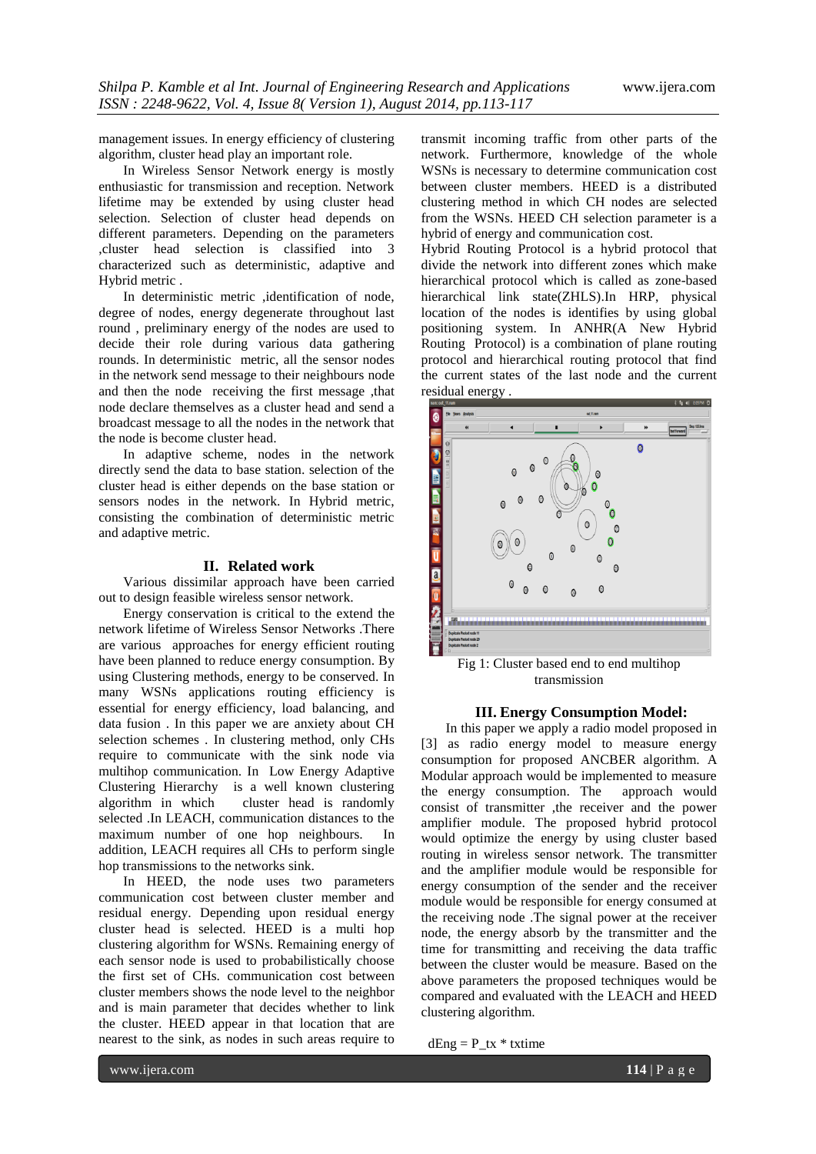management issues. In energy efficiency of clustering algorithm, cluster head play an important role.

In Wireless Sensor Network energy is mostly enthusiastic for transmission and reception. Network lifetime may be extended by using cluster head selection. Selection of cluster head depends on different parameters. Depending on the parameters ,cluster head selection is classified into 3 characterized such as deterministic, adaptive and Hybrid metric .

In deterministic metric ,identification of node, degree of nodes, energy degenerate throughout last round , preliminary energy of the nodes are used to decide their role during various data gathering rounds. In deterministic metric, all the sensor nodes in the network send message to their neighbours node and then the node receiving the first message ,that node declare themselves as a cluster head and send a broadcast message to all the nodes in the network that the node is become cluster head.

In adaptive scheme, nodes in the network directly send the data to base station. selection of the cluster head is either depends on the base station or sensors nodes in the network. In Hybrid metric, consisting the combination of deterministic metric and adaptive metric.

## **II. Related work**

Various dissimilar approach have been carried out to design feasible wireless sensor network.

Energy conservation is critical to the extend the network lifetime of Wireless Sensor Networks .There are various approaches for energy efficient routing have been planned to reduce energy consumption. By using Clustering methods, energy to be conserved. In many WSNs applications routing efficiency is essential for energy efficiency, load balancing, and data fusion . In this paper we are anxiety about CH selection schemes . In clustering method, only CHs require to communicate with the sink node via multihop communication. In Low Energy Adaptive Clustering Hierarchy is a well known clustering algorithm in which cluster head is randomly selected .In LEACH, communication distances to the maximum number of one hop neighbours. In addition, LEACH requires all CHs to perform single hop transmissions to the networks sink.

In HEED, the node uses two parameters communication cost between cluster member and residual energy. Depending upon residual energy cluster head is selected. HEED is a multi hop clustering algorithm for WSNs. Remaining energy of each sensor node is used to probabilistically choose the first set of CHs. communication cost between cluster members shows the node level to the neighbor and is main parameter that decides whether to link the cluster. HEED appear in that location that are nearest to the sink, as nodes in such areas require to

transmit incoming traffic from other parts of the network. Furthermore, knowledge of the whole WSNs is necessary to determine communication cost between cluster members. HEED is a distributed clustering method in which CH nodes are selected from the WSNs. HEED CH selection parameter is a hybrid of energy and communication cost.

Hybrid Routing Protocol is a hybrid protocol that divide the network into different zones which make hierarchical protocol which is called as zone-based hierarchical link state(ZHLS).In HRP, physical location of the nodes is identifies by using global positioning system. In ANHR(A New Hybrid Routing Protocol) is a combination of plane routing protocol and hierarchical routing protocol that find the current states of the last node and the current residual energy .



Fig 1: Cluster based end to end multihop transmission

## **III. Energy Consumption Model:**

In this paper we apply a radio model proposed in [3] as radio energy model to measure energy consumption for proposed ANCBER algorithm. A Modular approach would be implemented to measure the energy consumption. The approach would consist of transmitter ,the receiver and the power amplifier module. The proposed hybrid protocol would optimize the energy by using cluster based routing in wireless sensor network. The transmitter and the amplifier module would be responsible for energy consumption of the sender and the receiver module would be responsible for energy consumed at the receiving node .The signal power at the receiver node, the energy absorb by the transmitter and the time for transmitting and receiving the data traffic between the cluster would be measure. Based on the above parameters the proposed techniques would be compared and evaluated with the LEACH and HEED clustering algorithm.

 $dEng = P_{tx} * txtime$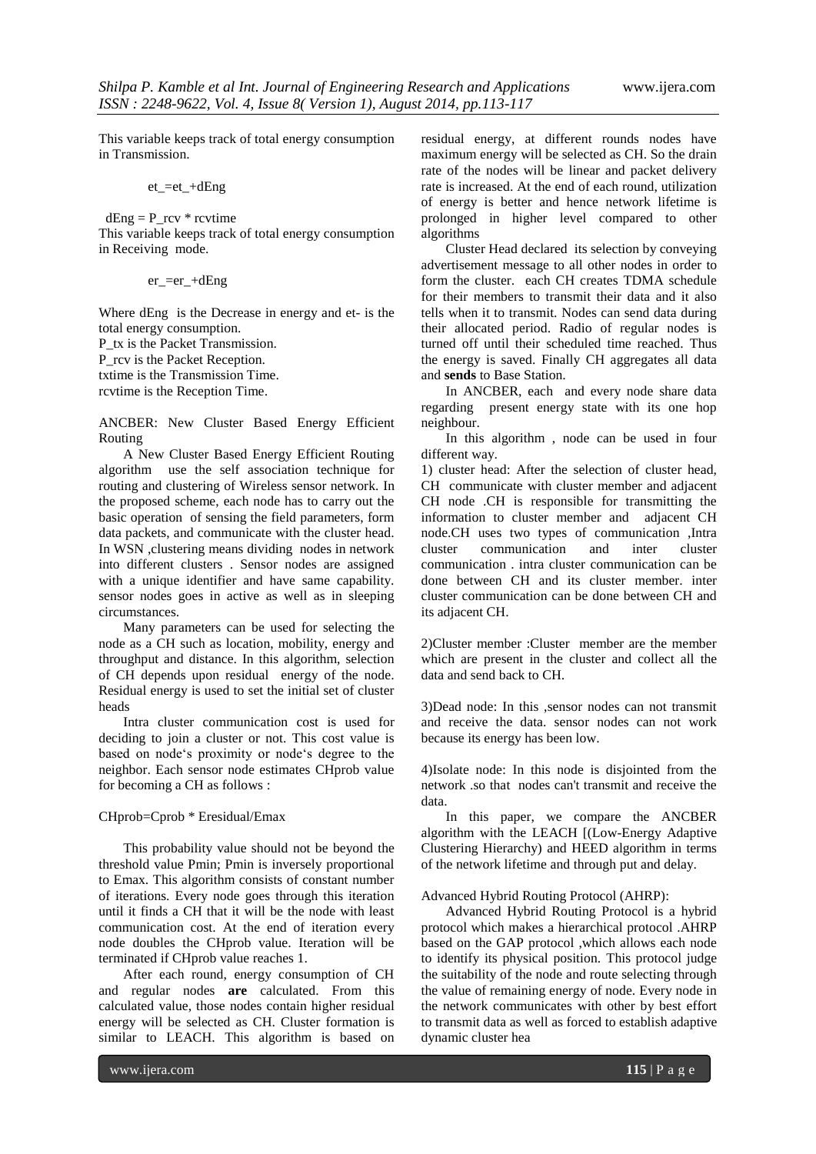This variable keeps track of total energy consumption in Transmission.

$$
et\_=et\_+dEng
$$

 $dEng = P_{rv} *$  rcvtime This variable keeps track of total energy consumption in Receiving mode.

er\_=er\_+dEng

Where dEng is the Decrease in energy and et- is the total energy consumption.

P\_tx is the Packet Transmission.

P\_rcv is the Packet Reception.

txtime is the Transmission Time.

rcvtime is the Reception Time.

ANCBER: New Cluster Based Energy Efficient Routing

A New Cluster Based Energy Efficient Routing algorithm use the self association technique for routing and clustering of Wireless sensor network. In the proposed scheme, each node has to carry out the basic operation of sensing the field parameters, form data packets, and communicate with the cluster head. In WSN ,clustering means dividing nodes in network into different clusters . Sensor nodes are assigned with a unique identifier and have same capability. sensor nodes goes in active as well as in sleeping circumstances.

Many parameters can be used for selecting the node as a CH such as location, mobility, energy and throughput and distance. In this algorithm, selection of CH depends upon residual energy of the node. Residual energy is used to set the initial set of cluster heads

Intra cluster communication cost is used for deciding to join a cluster or not. This cost value is based on node"s proximity or node"s degree to the neighbor. Each sensor node estimates CHprob value for becoming a CH as follows :

## CHprob=Cprob \* Eresidual/Emax

This probability value should not be beyond the threshold value Pmin; Pmin is inversely proportional to Emax. This algorithm consists of constant number of iterations. Every node goes through this iteration until it finds a CH that it will be the node with least communication cost. At the end of iteration every node doubles the CHprob value. Iteration will be terminated if CHprob value reaches 1.

After each round, energy consumption of CH and regular nodes **are** calculated. From this calculated value, those nodes contain higher residual energy will be selected as CH. Cluster formation is similar to LEACH. This algorithm is based on

residual energy, at different rounds nodes have maximum energy will be selected as CH. So the drain rate of the nodes will be linear and packet delivery rate is increased. At the end of each round, utilization of energy is better and hence network lifetime is prolonged in higher level compared to other algorithms

Cluster Head declared its selection by conveying advertisement message to all other nodes in order to form the cluster. each CH creates TDMA schedule for their members to transmit their data and it also tells when it to transmit. Nodes can send data during their allocated period. Radio of regular nodes is turned off until their scheduled time reached. Thus the energy is saved. Finally CH aggregates all data and **sends** to Base Station.

In ANCBER, each and every node share data regarding present energy state with its one hop neighbour.

In this algorithm , node can be used in four different way.

1) cluster head: After the selection of cluster head, CH communicate with cluster member and adjacent CH node .CH is responsible for transmitting the information to cluster member and adjacent CH node.CH uses two types of communication ,Intra cluster communication and inter cluster communication . intra cluster communication can be done between CH and its cluster member. inter cluster communication can be done between CH and its adjacent CH.

2)Cluster member :Cluster member are the member which are present in the cluster and collect all the data and send back to CH.

3)Dead node: In this ,sensor nodes can not transmit and receive the data. sensor nodes can not work because its energy has been low.

4)Isolate node: In this node is disjointed from the network .so that nodes can't transmit and receive the data.

In this paper, we compare the ANCBER algorithm with the LEACH [(Low-Energy Adaptive Clustering Hierarchy) and HEED algorithm in terms of the network lifetime and through put and delay.

Advanced Hybrid Routing Protocol (AHRP):

Advanced Hybrid Routing Protocol is a hybrid protocol which makes a hierarchical protocol .AHRP based on the GAP protocol ,which allows each node to identify its physical position. This protocol judge the suitability of the node and route selecting through the value of remaining energy of node. Every node in the network communicates with other by best effort to transmit data as well as forced to establish adaptive dynamic cluster hea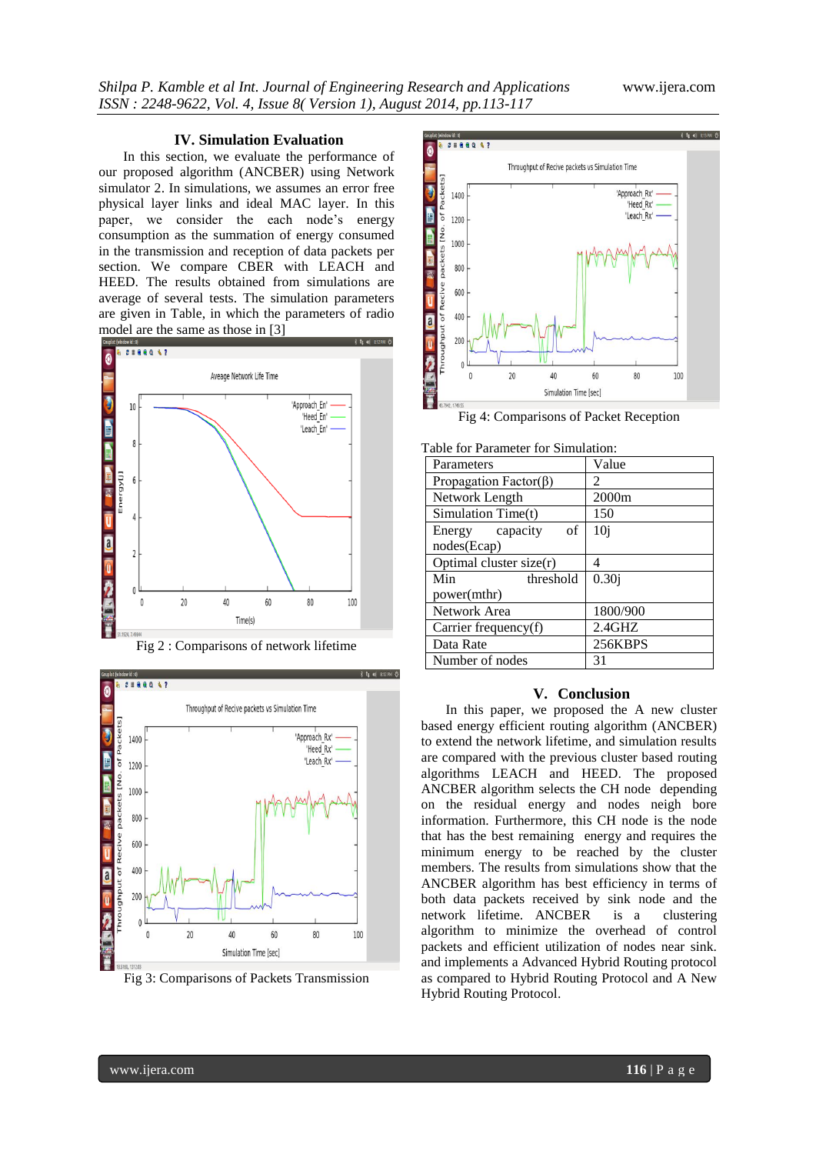## **IV. Simulation Evaluation**

In this section, we evaluate the performance of our proposed algorithm (ANCBER) using Network simulator 2. In simulations, we assumes an error free physical layer links and ideal MAC layer. In this paper, we consider the each node's energy consumption as the summation of energy consumed in the transmission and reception of data packets per section. We compare CBER with LEACH and HEED. The results obtained from simulations are average of several tests. The simulation parameters are given in Table, in which the parameters of radio model are the same as those in [3]





Fig 3: Comparisons of Packets Transmission



Fig 4: Comparisons of Packet Reception

| Parameters                    | Value                       |
|-------------------------------|-----------------------------|
| Propagation Factor( $\beta$ ) | $\mathcal{D}_{\mathcal{L}}$ |
| Network Length                | 2000m                       |
| Simulation Time(t)            | 150                         |
| Energy capacity<br>of         | 10 <sub>i</sub>             |
| nodes(Ecap)                   |                             |
| Optimal cluster size $(r)$    | 4                           |
| Min<br>threshold              | 0.30j                       |
| power(mthr)                   |                             |
| Network Area                  | 1800/900                    |
| Carrier frequency $(f)$       | 2.4GHZ                      |
| Data Rate                     | 256KBPS                     |
| Number of nodes               | 31                          |

#### Table for Parameter for Simulation:

### **V. Conclusion**

In this paper, we proposed the A new cluster based energy efficient routing algorithm (ANCBER) to extend the network lifetime, and simulation results are compared with the previous cluster based routing algorithms LEACH and HEED. The proposed ANCBER algorithm selects the CH node depending on the residual energy and nodes neigh bore information. Furthermore, this CH node is the node that has the best remaining energy and requires the minimum energy to be reached by the cluster members. The results from simulations show that the ANCBER algorithm has best efficiency in terms of both data packets received by sink node and the network lifetime. ANCBER is a clustering algorithm to minimize the overhead of control packets and efficient utilization of nodes near sink. and implements a Advanced Hybrid Routing protocol as compared to Hybrid Routing Protocol and A New Hybrid Routing Protocol.